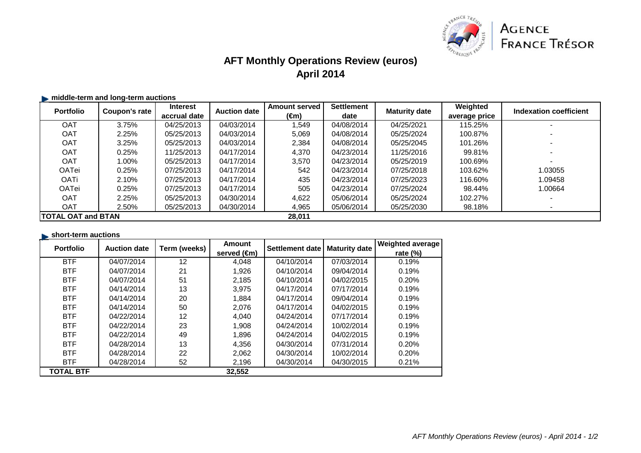

# **AFT Monthly Operations Review (euros)April 2014**

#### $\blacktriangleright$  **middle-term and long-term auctions**

| <b>Portfolio</b>          | Coupon's rate | <b>Interest</b> | <b>Auction date</b> | <b>Amount served</b> | <b>Settlement</b> | <b>Maturity date</b> | Weighted      | Indexation coefficient |
|---------------------------|---------------|-----------------|---------------------|----------------------|-------------------|----------------------|---------------|------------------------|
|                           |               | accrual date    |                     | (€m)                 | date              |                      | average price |                        |
| <b>OAT</b>                | 3.75%         | 04/25/2013      | 04/03/2014          | .549                 | 04/08/2014        | 04/25/2021           | 115.25%       |                        |
| <b>OAT</b>                | 2.25%         | 05/25/2013      | 04/03/2014          | 5,069                | 04/08/2014        | 05/25/2024           | 100.87%       |                        |
| <b>OAT</b>                | 3.25%         | 05/25/2013      | 04/03/2014          | 2,384                | 04/08/2014        | 05/25/2045           | 101.26%       |                        |
| <b>OAT</b>                | 0.25%         | 11/25/2013      | 04/17/2014          | 4.370                | 04/23/2014        | 11/25/2016           | 99.81%        |                        |
| <b>OAT</b>                | 1.00%         | 05/25/2013      | 04/17/2014          | 3.570                | 04/23/2014        | 05/25/2019           | 100.69%       |                        |
| <b>OATei</b>              | 0.25%         | 07/25/2013      | 04/17/2014          | 542                  | 04/23/2014        | 07/25/2018           | 103.62%       | 1.03055                |
| <b>OATi</b>               | 2.10%         | 07/25/2013      | 04/17/2014          | 435                  | 04/23/2014        | 07/25/2023           | 116.60%       | 1.09458                |
| OATei                     | 0.25%         | 07/25/2013      | 04/17/2014          | 505                  | 04/23/2014        | 07/25/2024           | 98.44%        | 1.00664                |
| <b>OAT</b>                | 2.25%         | 05/25/2013      | 04/30/2014          | 4,622                | 05/06/2014        | 05/25/2024           | 102.27%       |                        |
| <b>OAT</b>                | 2.50%         | 05/25/2013      | 04/30/2014          | 4,965                | 05/06/2014        | 05/25/2030           | 98.18%        |                        |
| <b>TOTAL OAT and BTAN</b> |               |                 |                     | 28,011               |                   |                      |               |                        |

#### **short-term auctions**

| <b>Portfolio</b> | <b>Auction date</b> | Term (weeks)      | <b>Amount</b>         | Settlement date | <b>Maturity date</b> | <b>Weighted average</b> |
|------------------|---------------------|-------------------|-----------------------|-----------------|----------------------|-------------------------|
|                  |                     |                   | served $(\epsilon m)$ |                 |                      | rate $(\%)$             |
| <b>BTF</b>       | 04/07/2014          | $12 \overline{ }$ | 4,048                 | 04/10/2014      | 07/03/2014           | 0.19%                   |
| <b>BTF</b>       | 04/07/2014          | 21                | 1,926                 | 04/10/2014      | 09/04/2014           | 0.19%                   |
| <b>BTF</b>       | 04/07/2014          | 51                | 2,185                 | 04/10/2014      | 04/02/2015           | 0.20%                   |
| <b>BTF</b>       | 04/14/2014          | 13                | 3,975                 | 04/17/2014      | 07/17/2014           | 0.19%                   |
| <b>BTF</b>       | 04/14/2014          | 20                | 1,884                 | 04/17/2014      | 09/04/2014           | 0.19%                   |
| <b>BTF</b>       | 04/14/2014          | 50                | 2,076                 | 04/17/2014      | 04/02/2015           | 0.19%                   |
| <b>BTF</b>       | 04/22/2014          | $12 \overline{ }$ | 4,040                 | 04/24/2014      | 07/17/2014           | 0.19%                   |
| <b>BTF</b>       | 04/22/2014          | 23                | 1,908                 | 04/24/2014      | 10/02/2014           | 0.19%                   |
| <b>BTF</b>       | 04/22/2014          | 49                | 1,896                 | 04/24/2014      | 04/02/2015           | 0.19%                   |
| <b>BTF</b>       | 04/28/2014          | 13                | 4,356                 | 04/30/2014      | 07/31/2014           | 0.20%                   |
| <b>BTF</b>       | 04/28/2014          | 22                | 2,062                 | 04/30/2014      | 10/02/2014           | 0.20%                   |
| <b>BTF</b>       | 04/28/2014          | 52                | 2,196                 | 04/30/2014      | 04/30/2015           | 0.21%                   |
| <b>TOTAL BTF</b> |                     |                   | 32,552                |                 |                      |                         |